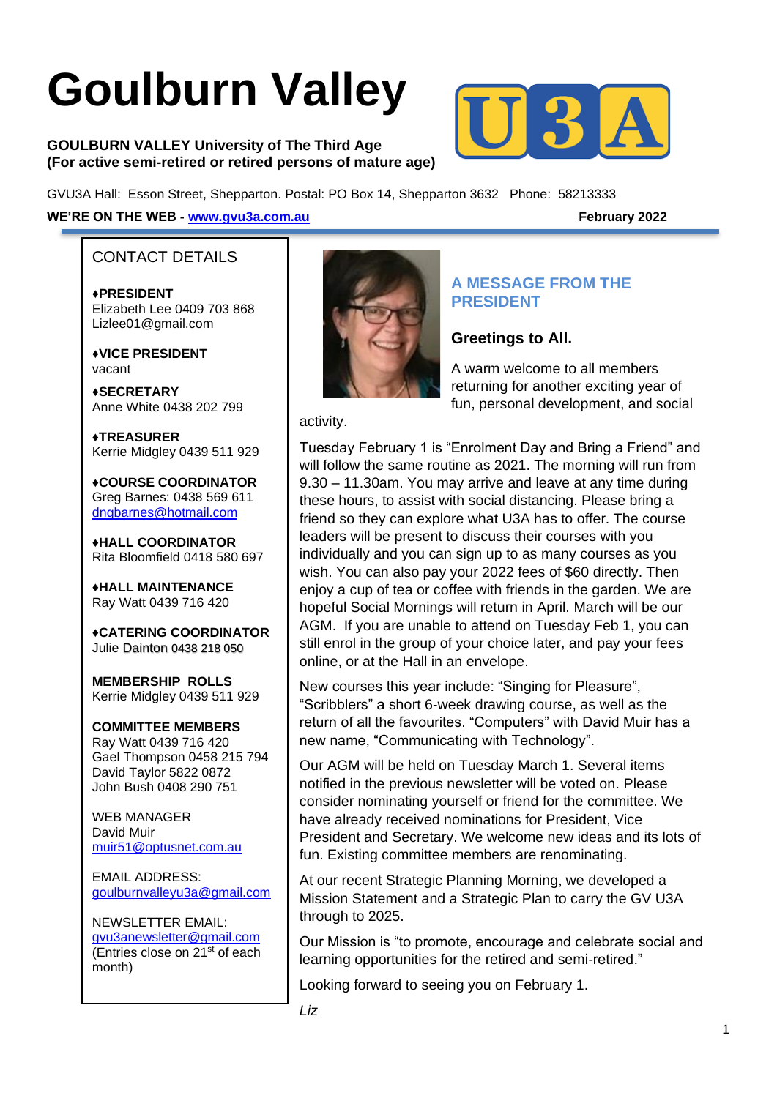# **Goulburn Valley**

**GOULBURN VALLEY University of The Third Age (For active semi-retired or retired persons of mature age)**



GVU3A Hall: Esson Street, Shepparton. Postal: PO Box 14, Shepparton 3632 Phone: 58213333

#### **WE'RE ON THE WEB - [www.gvu3a.com.au](http://www.gvu3a.com.au/) February 2022**

#### CONTACT DETAILS

♦**PRESIDENT** Elizabeth Lee 0409 703 868 Lizlee01@gmail.com

♦**VICE PRESIDENT** vacant

**♦SECRETARY** Anne White 0438 202 799

**♦TREASURER** Kerrie Midgley 0439 511 929

♦**COURSE COORDINATOR**  Greg Barnes: 0438 569 611 [dngbarnes@hotmail.com](mailto:dngbarnes@hotmail.com)

♦**HALL COORDINATOR** Rita Bloomfield 0418 580 697

♦**HALL MAINTENANCE**  Ray Watt 0439 716 420

♦**CATERING COORDINATOR** Julie Dainton 0438 218 050

**MEMBERSHIP ROLLS** Kerrie Midgley 0439 511 929

# **COMMITTEE MEMBERS**

Ray Watt 0439 716 420 Gael Thompson 0458 215 794 David Taylor 5822 0872 John Bush 0408 290 751

WEB MANAGER David Muir [muir51@optusnet.com.au](mailto:muir51@optusnet.com.au)

EMAIL ADDRESS: [goulburnvalleyu3a@gmail.com](mailto:goulburnvalleyu3a@gmail.com)

NEWSLETTER EMAIL: [gvu3anewsletter@gmail.com](mailto:gvu3anewsletter@gmail.com) (Entries close on 21<sup>st</sup> of each month)



#### **A MESSAGE FROM THE PRESIDENT**

#### **Greetings to All.**

A warm welcome to all members returning for another exciting year of fun, personal development, and social

#### activity.

Tuesday February 1 is "Enrolment Day and Bring a Friend" and will follow the same routine as 2021. The morning will run from 9.30 – 11.30am. You may arrive and leave at any time during these hours, to assist with social distancing. Please bring a friend so they can explore what U3A has to offer. The course leaders will be present to discuss their courses with you individually and you can sign up to as many courses as you wish. You can also pay your 2022 fees of \$60 directly. Then enjoy a cup of tea or coffee with friends in the garden. We are hopeful Social Mornings will return in April. March will be our AGM. If you are unable to attend on Tuesday Feb 1, you can still enrol in the group of your choice later, and pay your fees online, or at the Hall in an envelope.

New courses this year include: "Singing for Pleasure", "Scribblers" a short 6-week drawing course, as well as the return of all the favourites. "Computers" with David Muir has a new name, "Communicating with Technology".

Our AGM will be held on Tuesday March 1. Several items notified in the previous newsletter will be voted on. Please consider nominating yourself or friend for the committee. We have already received nominations for President, Vice President and Secretary. We welcome new ideas and its lots of fun. Existing committee members are renominating.

At our recent Strategic Planning Morning, we developed a Mission Statement and a Strategic Plan to carry the GV U3A through to 2025.

Our Mission is "to promote, encourage and celebrate social and learning opportunities for the retired and semi-retired."

Looking forward to seeing you on February 1.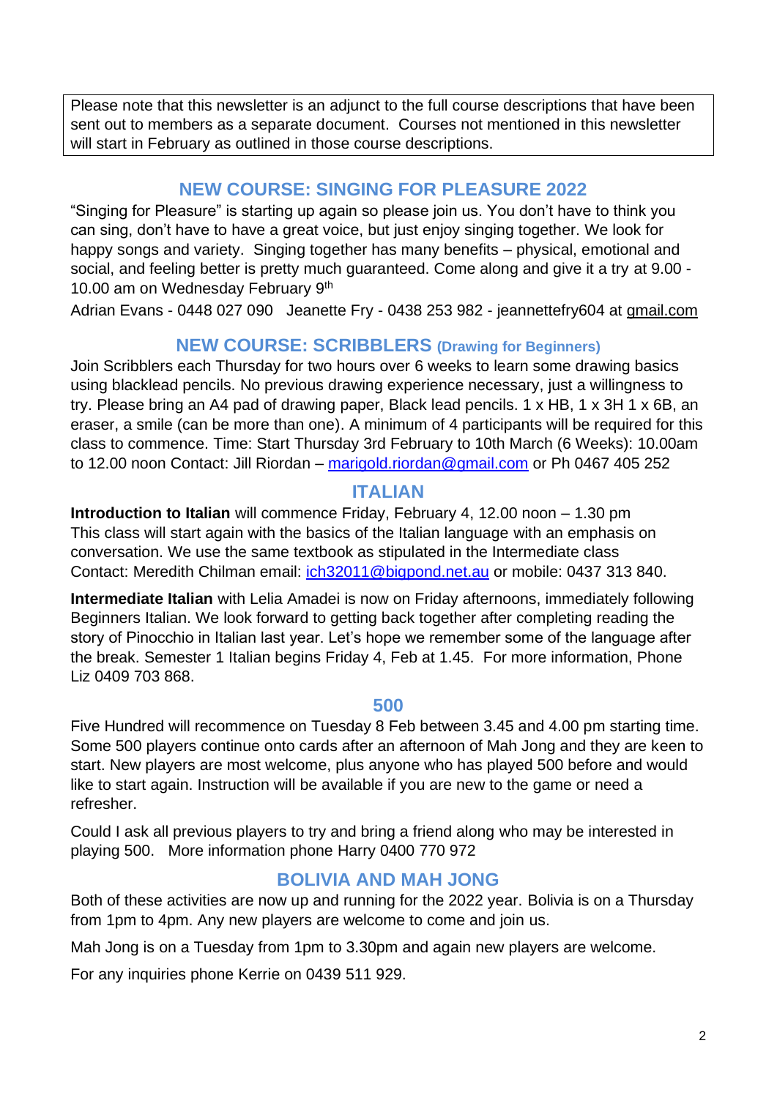Please note that this newsletter is an adjunct to the full course descriptions that have been sent out to members as a separate document. Courses not mentioned in this newsletter will start in February as outlined in those course descriptions.

# **NEW COURSE: SINGING FOR PLEASURE 2022**

"Singing for Pleasure" is starting up again so please join us. You don't have to think you can sing, don't have to have a great voice, but just enjoy singing together. We look for happy songs and variety. Singing together has many benefits – physical, emotional and social, and feeling better is pretty much guaranteed. Come along and give it a try at 9.00 - 10.00 am on Wednesday February 9<sup>th</sup>

Adrian Evans - 0448 027 090 Jeanette Fry - 0438 253 982 - jeannettefry604 at [gmail.com](http://gmail.com/)

#### **NEW COURSE: SCRIBBLERS (Drawing for Beginners)**

Join Scribblers each Thursday for two hours over 6 weeks to learn some drawing basics using blacklead pencils. No previous drawing experience necessary, just a willingness to try. Please bring an A4 pad of drawing paper, Black lead pencils. 1 x HB, 1 x 3H 1 x 6B, an eraser, a smile (can be more than one). A minimum of 4 participants will be required for this class to commence. Time: Start Thursday 3rd February to 10th March (6 Weeks): 10.00am to 12.00 noon Contact: Jill Riordan – [marigold.riordan@gmail.com](mailto:marigold.riordan@gmail.com) or Ph 0467 405 252

#### **ITALIAN**

**Introduction to Italian** will commence Friday, February 4, 12.00 noon – 1.30 pm This class will start again with the basics of the Italian language with an emphasis on conversation. We use the same textbook as stipulated in the Intermediate class Contact: Meredith Chilman email: [ich32011@bigpond.net.au](mailto:ich32011@bigpond.net.au) or mobile: 0437 313 840.

**Intermediate Italian** with Lelia Amadei is now on Friday afternoons, immediately following Beginners Italian. We look forward to getting back together after completing reading the story of Pinocchio in Italian last year. Let's hope we remember some of the language after the break. Semester 1 Italian begins Friday 4, Feb at 1.45. For more information, Phone Liz 0409 703 868.

#### **500**

Five Hundred will recommence on Tuesday 8 Feb between 3.45 and 4.00 pm starting time. Some 500 players continue onto cards after an afternoon of Mah Jong and they are keen to start. New players are most welcome, plus anyone who has played 500 before and would like to start again. Instruction will be available if you are new to the game or need a refresher.

Could I ask all previous players to try and bring a friend along who may be interested in playing 500. More information phone Harry 0400 770 972

# **BOLIVIA AND MAH JONG**

Both of these activities are now up and running for the 2022 year. Bolivia is on a Thursday from 1pm to 4pm. Any new players are welcome to come and join us.

Mah Jong is on a Tuesday from 1pm to 3.30pm and again new players are welcome.

For any inquiries phone Kerrie on 0439 511 929.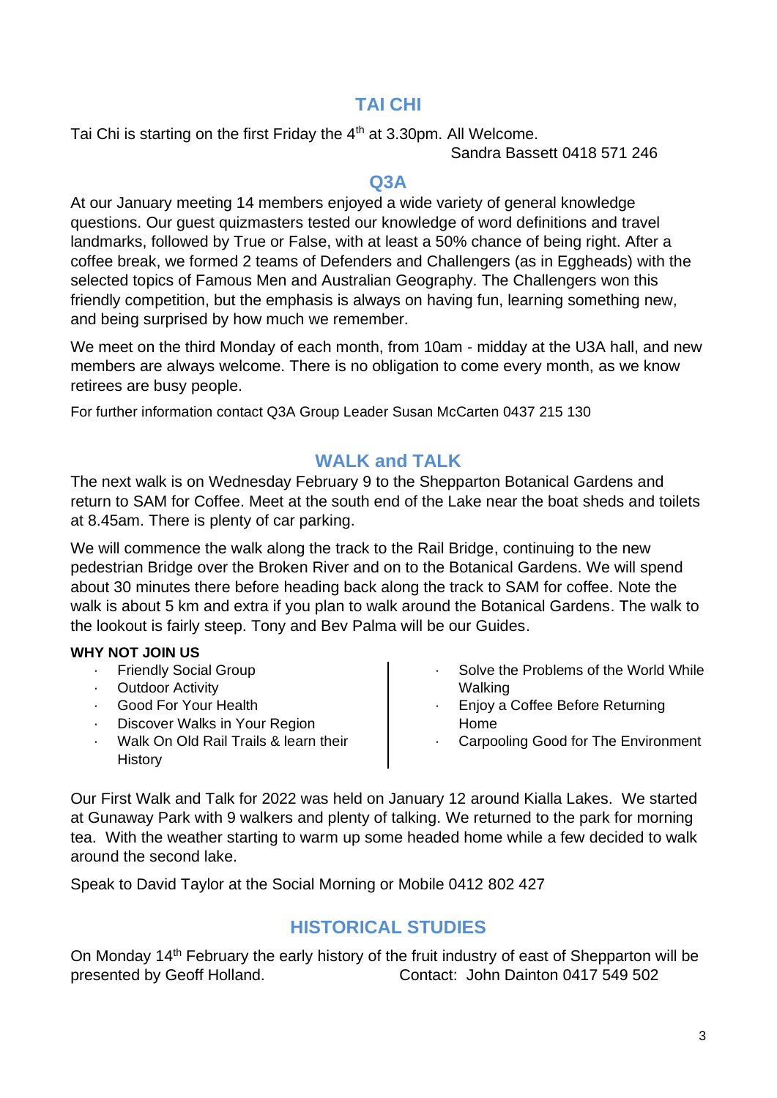# **TAI CHI**

Tai Chi is starting on the first Friday the 4<sup>th</sup> at 3.30pm. All Welcome.

Sandra Bassett 0418 571 246

#### **Q3A**

At our January meeting 14 members enjoyed a wide variety of general knowledge questions. Our guest quizmasters tested our knowledge of word definitions and travel landmarks, followed by True or False, with at least a 50% chance of being right. After a coffee break, we formed 2 teams of Defenders and Challengers (as in Eggheads) with the selected topics of Famous Men and Australian Geography. The Challengers won this friendly competition, but the emphasis is always on having fun, learning something new, and being surprised by how much we remember.

We meet on the third Monday of each month, from 10am - midday at the U3A hall, and new members are always welcome. There is no obligation to come every month, as we know retirees are busy people.

For further information contact Q3A Group Leader Susan McCarten 0437 215 130

# **WALK and TALK**

The next walk is on Wednesday February 9 to the Shepparton Botanical Gardens and return to SAM for Coffee. Meet at the south end of the Lake near the boat sheds and toilets at 8.45am. There is plenty of car parking.

We will commence the walk along the track to the Rail Bridge, continuing to the new pedestrian Bridge over the Broken River and on to the Botanical Gardens. We will spend about 30 minutes there before heading back along the track to SAM for coffee. Note the walk is about 5 km and extra if you plan to walk around the Botanical Gardens. The walk to the lookout is fairly steep. Tony and Bev Palma will be our Guides.

#### **WHY NOT JOIN US**

- **Friendly Social Group**
- **Outdoor Activity**
- · Good For Your Health
- Discover Walks in Your Region
- · Walk On Old Rail Trails & learn their **History**
- Solve the Problems of the World While Walking
- · Enjoy a Coffee Before Returning Home
- Carpooling Good for The Environment

Our First Walk and Talk for 2022 was held on January 12 around Kialla Lakes. We started at Gunaway Park with 9 walkers and plenty of talking. We returned to the park for morning tea. With the weather starting to warm up some headed home while a few decided to walk around the second lake.

Speak to David Taylor at the Social Morning or Mobile 0412 802 427

# **HISTORICAL STUDIES**

On Monday 14<sup>th</sup> February the early history of the fruit industry of east of Shepparton will be presented by Geoff Holland. Contact: John Dainton 0417 549 502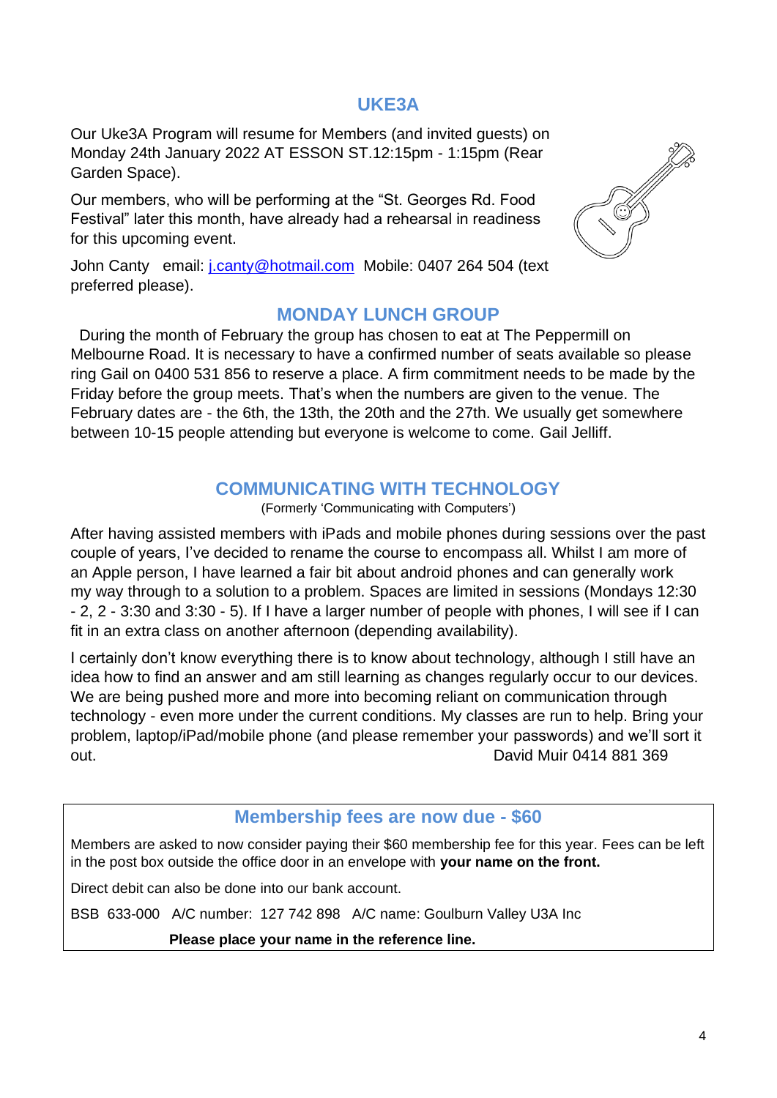#### **UKE3A**

Our Uke3A Program will resume for Members (and invited guests) on Monday 24th January 2022 AT ESSON ST.12:15pm - 1:15pm (Rear Garden Space).

Our members, who will be performing at the "St. Georges Rd. Food Festival" later this month, have already had a rehearsal in readiness for this upcoming event.



John Canty email: [j.canty@hotmail.com](mailto:j.canty@hotmail.com) Mobile: 0407 264 504 (text preferred please).

#### **MONDAY LUNCH GROUP**

During the month of February the group has chosen to eat at The Peppermill on Melbourne Road. It is necessary to have a confirmed number of seats available so please ring Gail on 0400 531 856 to reserve a place. A firm commitment needs to be made by the Friday before the group meets. That's when the numbers are given to the venue. The February dates are - the 6th, the 13th, the 20th and the 27th. We usually get somewhere between 10-15 people attending but everyone is welcome to come. Gail Jelliff.

# **COMMUNICATING WITH TECHNOLOGY**

(Formerly 'Communicating with Computers')

After having assisted members with iPads and mobile phones during sessions over the past couple of years, I've decided to rename the course to encompass all. Whilst I am more of an Apple person, I have learned a fair bit about android phones and can generally work my way through to a solution to a problem. Spaces are limited in sessions (Mondays 12:30 - 2, 2 - 3:30 and 3:30 - 5). If I have a larger number of people with phones, I will see if I can fit in an extra class on another afternoon (depending availability).

I certainly don't know everything there is to know about technology, although I still have an idea how to find an answer and am still learning as changes regularly occur to our devices. We are being pushed more and more into becoming reliant on communication through technology - even more under the current conditions. My classes are run to help. Bring your problem, laptop/iPad/mobile phone (and please remember your passwords) and we'll sort it out. David Muir 0414 881 369

# **Membership fees are now due - \$60**

Members are asked to now consider paying their \$60 membership fee for this year. Fees can be left in the post box outside the office door in an envelope with **your name on the front.**

Direct debit can also be done into our bank account.

BSB 633-000 A/C number: 127 742 898 A/C name: Goulburn Valley U3A Inc

 **Please place your name in the reference line.**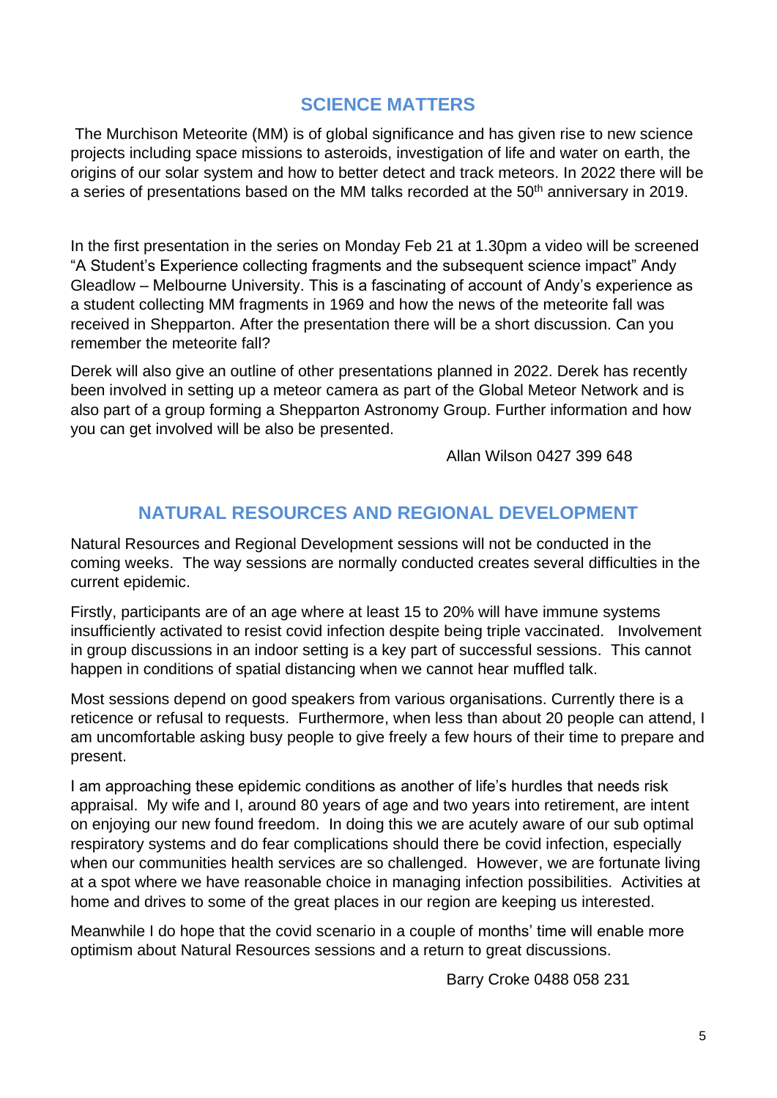# **SCIENCE MATTERS**

The Murchison Meteorite (MM) is of global significance and has given rise to new science projects including space missions to asteroids, investigation of life and water on earth, the origins of our solar system and how to better detect and track meteors. In 2022 there will be a series of presentations based on the MM talks recorded at the 50<sup>th</sup> anniversary in 2019.

In the first presentation in the series on Monday Feb 21 at 1.30pm a video will be screened "A Student's Experience collecting fragments and the subsequent science impact" Andy Gleadlow – Melbourne University. This is a fascinating of account of Andy's experience as a student collecting MM fragments in 1969 and how the news of the meteorite fall was received in Shepparton. After the presentation there will be a short discussion. Can you remember the meteorite fall?

Derek will also give an outline of other presentations planned in 2022. Derek has recently been involved in setting up a meteor camera as part of the Global Meteor Network and is also part of a group forming a Shepparton Astronomy Group. Further information and how you can get involved will be also be presented.

Allan Wilson 0427 399 648

# **NATURAL RESOURCES AND REGIONAL DEVELOPMENT**

Natural Resources and Regional Development sessions will not be conducted in the coming weeks. The way sessions are normally conducted creates several difficulties in the current epidemic.

Firstly, participants are of an age where at least 15 to 20% will have immune systems insufficiently activated to resist covid infection despite being triple vaccinated. Involvement in group discussions in an indoor setting is a key part of successful sessions. This cannot happen in conditions of spatial distancing when we cannot hear muffled talk.

Most sessions depend on good speakers from various organisations. Currently there is a reticence or refusal to requests. Furthermore, when less than about 20 people can attend, I am uncomfortable asking busy people to give freely a few hours of their time to prepare and present.

I am approaching these epidemic conditions as another of life's hurdles that needs risk appraisal. My wife and I, around 80 years of age and two years into retirement, are intent on enjoying our new found freedom. In doing this we are acutely aware of our sub optimal respiratory systems and do fear complications should there be covid infection, especially when our communities health services are so challenged. However, we are fortunate living at a spot where we have reasonable choice in managing infection possibilities. Activities at home and drives to some of the great places in our region are keeping us interested.

Meanwhile I do hope that the covid scenario in a couple of months' time will enable more optimism about Natural Resources sessions and a return to great discussions.

Barry Croke 0488 058 231